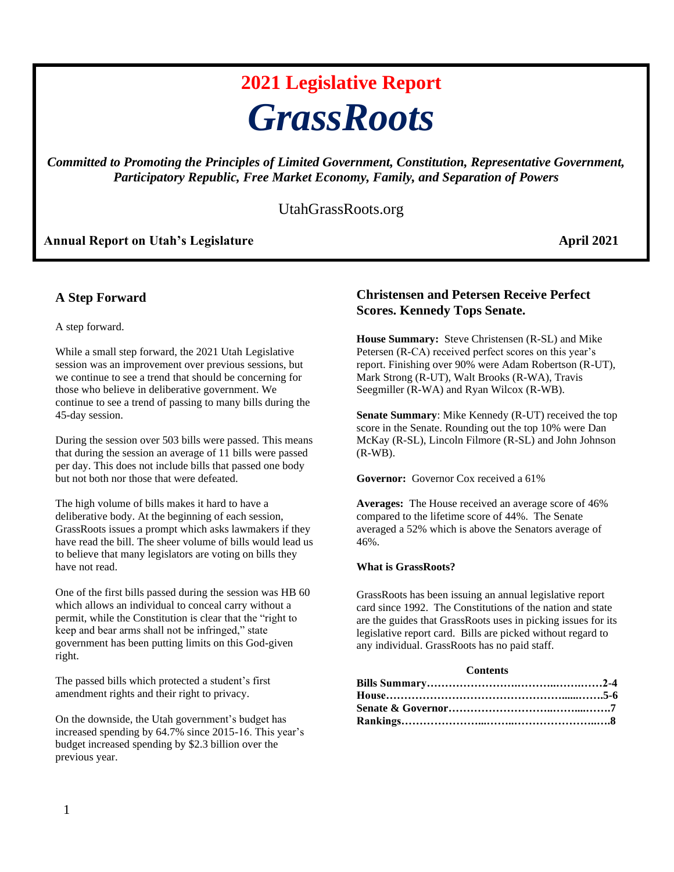# **2021 Legislative Report** *GrassRoots*

*Committed to Promoting the Principles of Limited Government, Constitution, Representative Government, Participatory Republic, Free Market Economy, Family, and Separation of Powers*

# UtahGrassRoots.org

# **Annual Report on Utah's Legislature April 2021**

# **A Step Forward**

A step forward.

While a small step forward, the 2021 Utah Legislative session was an improvement over previous sessions, but we continue to see a trend that should be concerning for those who believe in deliberative government. We continue to see a trend of passing to many bills during the 45-day session.

During the session over 503 bills were passed. This means that during the session an average of 11 bills were passed per day. This does not include bills that passed one body but not both nor those that were defeated.

The high volume of bills makes it hard to have a deliberative body. At the beginning of each session, GrassRoots issues a prompt which asks lawmakers if they have read the bill. The sheer volume of bills would lead us to believe that many legislators are voting on bills they have not read.

One of the first bills passed during the session was HB 60 which allows an individual to conceal carry without a permit, while the Constitution is clear that the "right to keep and bear arms shall not be infringed," state government has been putting limits on this God-given right.

The passed bills which protected a student's first amendment rights and their right to privacy.

On the downside, the Utah government's budget has increased spending by 64.7% since 2015-16. This year's budget increased spending by \$2.3 billion over the previous year.

# **Christensen and Petersen Receive Perfect Scores. Kennedy Tops Senate.**

**House Summary:** Steve Christensen (R-SL) and Mike Petersen (R-CA) received perfect scores on this year's report. Finishing over 90% were Adam Robertson (R-UT), Mark Strong (R-UT), Walt Brooks (R-WA), Travis Seegmiller (R-WA) and Ryan Wilcox (R-WB).

**Senate Summary**: Mike Kennedy (R-UT) received the top score in the Senate. Rounding out the top 10% were Dan McKay (R-SL), Lincoln Filmore (R-SL) and John Johnson (R-WB).

**Governor:** Governor Cox received a 61%

**Averages:** The House received an average score of 46% compared to the lifetime score of 44%. The Senate averaged a 52% which is above the Senators average of 46%.

#### **What is GrassRoots?**

GrassRoots has been issuing an annual legislative report card since 1992. The Constitutions of the nation and state are the guides that GrassRoots uses in picking issues for its legislative report card. Bills are picked without regard to any individual. GrassRoots has no paid staff.

#### **Contents**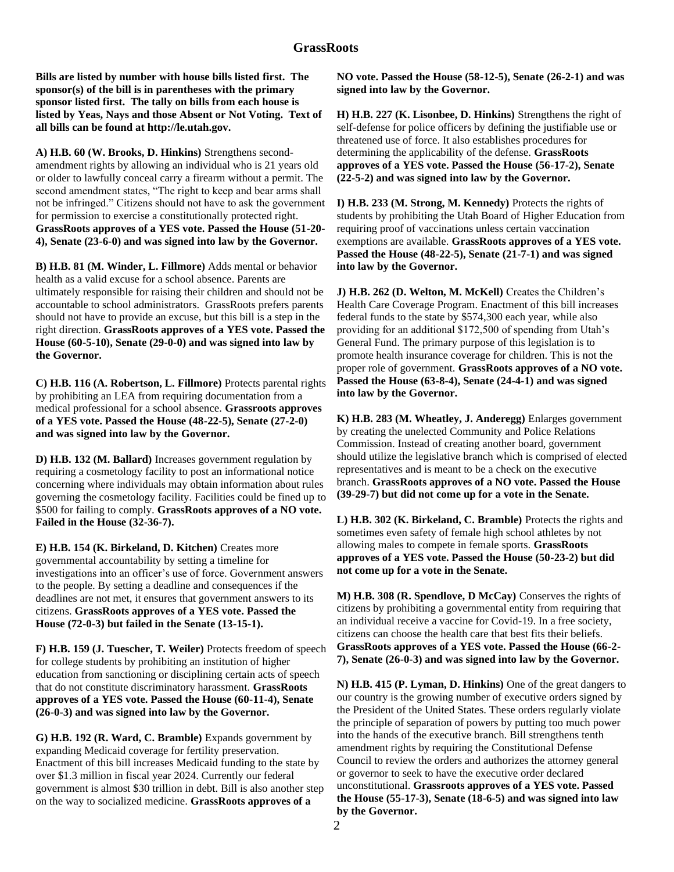## **GrassRoots**

**Bills are listed by number with house bills listed first. The sponsor(s) of the bill is in parentheses with the primary sponsor listed first. The tally on bills from each house is listed by Yeas, Nays and those Absent or Not Voting. Text of all bills can be found at http://le.utah.gov.**

**A) H.B. 60 (W. Brooks, D. Hinkins)** Strengthens secondamendment rights by allowing an individual who is 21 years old or older to lawfully conceal carry a firearm without a permit. The second amendment states, "The right to keep and bear arms shall not be infringed." Citizens should not have to ask the government for permission to exercise a constitutionally protected right. **GrassRoots approves of a YES vote. Passed the House (51-20- 4), Senate (23-6-0) and was signed into law by the Governor.** 

**B) H.B. 81 (M. Winder, L. Fillmore)** Adds mental or behavior health as a valid excuse for a school absence. Parents are ultimately responsible for raising their children and should not be accountable to school administrators. GrassRoots prefers parents should not have to provide an excuse, but this bill is a step in the right direction. **GrassRoots approves of a YES vote. Passed the House (60-5-10), Senate (29-0-0) and was signed into law by the Governor.** 

**C) H.B. 116 (A. Robertson, L. Fillmore)** Protects parental rights by prohibiting an LEA from requiring documentation from a medical professional for a school absence. **Grassroots approves of a YES vote. Passed the House (48-22-5), Senate (27-2-0) and was signed into law by the Governor.** 

**D) H.B. 132 (M. Ballard)** Increases government regulation by requiring a cosmetology facility to post an informational notice concerning where individuals may obtain information about rules governing the cosmetology facility. Facilities could be fined up to \$500 for failing to comply. **GrassRoots approves of a NO vote. Failed in the House (32-36-7).** 

**E) H.B. 154 (K. Birkeland, D. Kitchen)** Creates more governmental accountability by setting a timeline for investigations into an officer's use of force. Government answers to the people. By setting a deadline and consequences if the deadlines are not met, it ensures that government answers to its citizens. **GrassRoots approves of a YES vote. Passed the House (72-0-3) but failed in the Senate (13-15-1).** 

**F) H.B. 159 (J. Tuescher, T. Weiler)** Protects freedom of speech for college students by prohibiting an institution of higher education from sanctioning or disciplining certain acts of speech that do not constitute discriminatory harassment. **GrassRoots approves of a YES vote. Passed the House (60-11-4), Senate (26-0-3) and was signed into law by the Governor.** 

**G) H.B. 192 (R. Ward, C. Bramble)** Expands government by expanding Medicaid coverage for fertility preservation. Enactment of this bill increases Medicaid funding to the state by over \$1.3 million in fiscal year 2024. Currently our federal government is almost \$30 trillion in debt. Bill is also another step on the way to socialized medicine. **GrassRoots approves of a** 

**NO vote. Passed the House (58-12-5), Senate (26-2-1) and was signed into law by the Governor.** 

**H) H.B. 227 (K. Lisonbee, D. Hinkins)** Strengthens the right of self-defense for police officers by defining the justifiable use or threatened use of force. It also establishes procedures for determining the applicability of the defense. **GrassRoots approves of a YES vote. Passed the House (56-17-2), Senate (22-5-2) and was signed into law by the Governor.** 

**I) H.B. 233 (M. Strong, M. Kennedy)** Protects the rights of students by prohibiting the Utah Board of Higher Education from requiring proof of vaccinations unless certain vaccination exemptions are available. **GrassRoots approves of a YES vote. Passed the House (48-22-5), Senate (21-7-1) and was signed into law by the Governor.** 

**J) H.B. 262 (D. Welton, M. McKell)** Creates the Children's Health Care Coverage Program. Enactment of this bill increases federal funds to the state by \$574,300 each year, while also providing for an additional \$172,500 of spending from Utah's General Fund. The primary purpose of this legislation is to promote health insurance coverage for children. This is not the proper role of government. **GrassRoots approves of a NO vote. Passed the House (63-8-4), Senate (24-4-1) and was signed into law by the Governor.** 

**K) H.B. 283 (M. Wheatley, J. Anderegg)** Enlarges government by creating the unelected Community and Police Relations Commission. Instead of creating another board, government should utilize the legislative branch which is comprised of elected representatives and is meant to be a check on the executive branch. **GrassRoots approves of a NO vote. Passed the House (39-29-7) but did not come up for a vote in the Senate.** 

**L) H.B. 302 (K. Birkeland, C. Bramble)** Protects the rights and sometimes even safety of female high school athletes by not allowing males to compete in female sports. **GrassRoots approves of a YES vote. Passed the House (50-23-2) but did not come up for a vote in the Senate.** 

**M) H.B. 308 (R. Spendlove, D McCay)** Conserves the rights of citizens by prohibiting a governmental entity from requiring that an individual receive a vaccine for Covid-19. In a free society, citizens can choose the health care that best fits their beliefs. **GrassRoots approves of a YES vote. Passed the House (66-2- 7), Senate (26-0-3) and was signed into law by the Governor.** 

**N) H.B. 415 (P. Lyman, D. Hinkins)** One of the great dangers to our country is the growing number of executive orders signed by the President of the United States. These orders regularly violate the principle of separation of powers by putting too much power into the hands of the executive branch. Bill strengthens tenth amendment rights by requiring the Constitutional Defense Council to review the orders and authorizes the attorney general or governor to seek to have the executive order declared unconstitutional. **Grassroots approves of a YES vote. Passed the House (55-17-3), Senate (18-6-5) and was signed into law by the Governor.**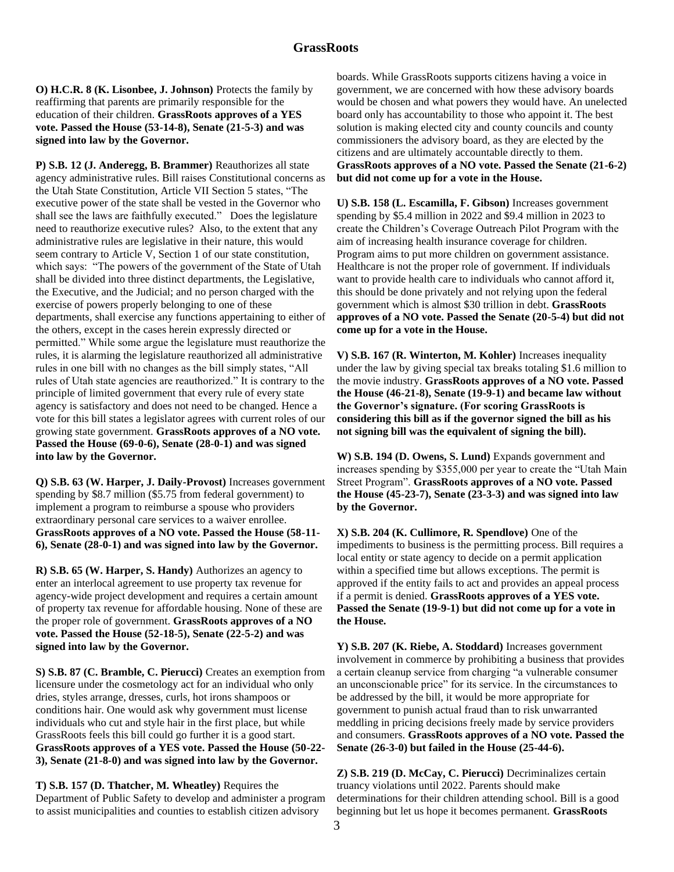**O) H.C.R. 8 (K. Lisonbee, J. Johnson)** Protects the family by reaffirming that parents are primarily responsible for the education of their children. **GrassRoots approves of a YES vote. Passed the House (53-14-8), Senate (21-5-3) and was signed into law by the Governor.** 

**P) S.B. 12 (J. Anderegg, B. Brammer)** Reauthorizes all state agency administrative rules. Bill raises Constitutional concerns as the Utah State Constitution, Article VII Section 5 states, "The executive power of the state shall be vested in the Governor who shall see the laws are faithfully executed." Does the legislature need to reauthorize executive rules? Also, to the extent that any administrative rules are legislative in their nature, this would seem contrary to Article V, Section 1 of our state constitution, which says: "The powers of the government of the State of Utah shall be divided into three distinct departments, the Legislative, the Executive, and the Judicial; and no person charged with the exercise of powers properly belonging to one of these departments, shall exercise any functions appertaining to either of the others, except in the cases herein expressly directed or permitted." While some argue the legislature must reauthorize the rules, it is alarming the legislature reauthorized all administrative rules in one bill with no changes as the bill simply states, "All rules of Utah state agencies are reauthorized." It is contrary to the principle of limited government that every rule of every state agency is satisfactory and does not need to be changed. Hence a vote for this bill states a legislator agrees with current roles of our growing state government. **GrassRoots approves of a NO vote. Passed the House (69-0-6), Senate (28-0-1) and was signed into law by the Governor.** 

**Q) S.B. 63 (W. Harper, J. Daily-Provost)** Increases government spending by \$8.7 million (\$5.75 from federal government) to implement a program to reimburse a spouse who providers extraordinary personal care services to a waiver enrollee. **GrassRoots approves of a NO vote. Passed the House (58-11- 6), Senate (28-0-1) and was signed into law by the Governor.** 

**R) S.B. 65 (W. Harper, S. Handy)** Authorizes an agency to enter an interlocal agreement to use property tax revenue for agency-wide project development and requires a certain amount of property tax revenue for affordable housing. None of these are the proper role of government. **GrassRoots approves of a NO vote. Passed the House (52-18-5), Senate (22-5-2) and was signed into law by the Governor.** 

**S) S.B. 87 (C. Bramble, C. Pierucci)** Creates an exemption from licensure under the cosmetology act for an individual who only dries, styles arrange, dresses, curls, hot irons shampoos or conditions hair. One would ask why government must license individuals who cut and style hair in the first place, but while GrassRoots feels this bill could go further it is a good start. **GrassRoots approves of a YES vote. Passed the House (50-22- 3), Senate (21-8-0) and was signed into law by the Governor.** 

**T) S.B. 157 (D. Thatcher, M. Wheatley)** Requires the Department of Public Safety to develop and administer a program to assist municipalities and counties to establish citizen advisory

boards. While GrassRoots supports citizens having a voice in government, we are concerned with how these advisory boards would be chosen and what powers they would have. An unelected board only has accountability to those who appoint it. The best solution is making elected city and county councils and county commissioners the advisory board, as they are elected by the citizens and are ultimately accountable directly to them. **GrassRoots approves of a NO vote. Passed the Senate (21-6-2) but did not come up for a vote in the House.** 

**U) S.B. 158 (L. Escamilla, F. Gibson)** Increases government spending by \$5.4 million in 2022 and \$9.4 million in 2023 to create the Children's Coverage Outreach Pilot Program with the aim of increasing health insurance coverage for children. Program aims to put more children on government assistance. Healthcare is not the proper role of government. If individuals want to provide health care to individuals who cannot afford it, this should be done privately and not relying upon the federal government which is almost \$30 trillion in debt. **GrassRoots approves of a NO vote. Passed the Senate (20-5-4) but did not come up for a vote in the House.** 

**V) S.B. 167 (R. Winterton, M. Kohler)** Increases inequality under the law by giving special tax breaks totaling \$1.6 million to the movie industry. **GrassRoots approves of a NO vote. Passed the House (46-21-8), Senate (19-9-1) and became law without the Governor's signature. (For scoring GrassRoots is considering this bill as if the governor signed the bill as his not signing bill was the equivalent of signing the bill).** 

**W) S.B. 194 (D. Owens, S. Lund)** Expands government and increases spending by \$355,000 per year to create the "Utah Main Street Program". **GrassRoots approves of a NO vote. Passed the House (45-23-7), Senate (23-3-3) and was signed into law by the Governor.** 

**X) S.B. 204 (K. Cullimore, R. Spendlove)** One of the impediments to business is the permitting process. Bill requires a local entity or state agency to decide on a permit application within a specified time but allows exceptions. The permit is approved if the entity fails to act and provides an appeal process if a permit is denied. **GrassRoots approves of a YES vote. Passed the Senate (19-9-1) but did not come up for a vote in the House.** 

**Y) S.B. 207 (K. Riebe, A. Stoddard)** Increases government involvement in commerce by prohibiting a business that provides a certain cleanup service from charging "a vulnerable consumer an unconscionable price" for its service. In the circumstances to be addressed by the bill, it would be more appropriate for government to punish actual fraud than to risk unwarranted meddling in pricing decisions freely made by service providers and consumers. **GrassRoots approves of a NO vote. Passed the Senate (26-3-0) but failed in the House (25-44-6).** 

**Z) S.B. 219 (D. McCay, C. Pierucci)** Decriminalizes certain truancy violations until 2022. Parents should make determinations for their children attending school. Bill is a good beginning but let us hope it becomes permanent. **GrassRoots**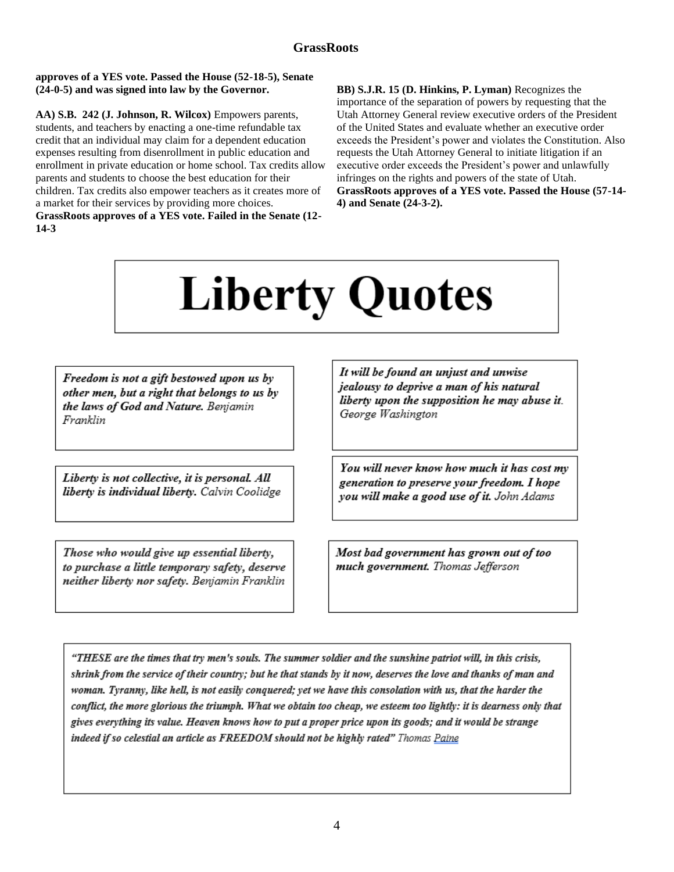### **approves of a YES vote. Passed the House (52-18-5), Senate (24-0-5) and was signed into law by the Governor.**

**AA) S.B. 242 (J. Johnson, R. Wilcox)** Empowers parents, students, and teachers by enacting a one-time refundable tax credit that an individual may claim for a dependent education expenses resulting from disenrollment in public education and enrollment in private education or home school. Tax credits allow parents and students to choose the best education for their children. Tax credits also empower teachers as it creates more of a market for their services by providing more choices. **GrassRoots approves of a YES vote. Failed in the Senate (12- 14-3**

**BB) S.J.R. 15 (D. Hinkins, P. Lyman)** Recognizes the importance of the separation of powers by requesting that the Utah Attorney General review executive orders of the President of the United States and evaluate whether an executive order exceeds the President's power and violates the Constitution. Also requests the Utah Attorney General to initiate litigation if an executive order exceeds the President's power and unlawfully infringes on the rights and powers of the state of Utah. **GrassRoots approves of a YES vote. Passed the House (57-14- 4) and Senate (24-3-2).** 

# **Liberty Quotes**

Freedom is not a gift bestowed upon us by other men, but a right that belongs to us by the laws of God and Nature. Benjamin Franklin

Liberty is not collective, it is personal. All liberty is individual liberty. Calvin Coolidge

Those who would give up essential liberty, to purchase a little temporary safety, deserve neither liberty nor safety. Benjamin Franklin

It will be found an unjust and unwise jealousy to deprive a man of his natural liberty upon the supposition he may abuse it. George Washington

You will never know how much it has cost my generation to preserve your freedom. I hope you will make a good use of it. John Adams

Most bad government has grown out of too much government. Thomas Jefferson

"THESE are the times that try men's souls. The summer soldier and the sunshine patriot will, in this crisis, shrink from the service of their country; but he that stands by it now, deserves the love and thanks of man and woman. Tyranny, like hell, is not easily conquered; yet we have this consolation with us, that the harder the conflict, the more glorious the triumph. What we obtain too cheap, we esteem too lightly: it is dearness only that gives everything its value. Heaven knows how to put a proper price upon its goods; and it would be strange indeed if so celestial an article as FREEDOM should not be highly rated" Thomas Paine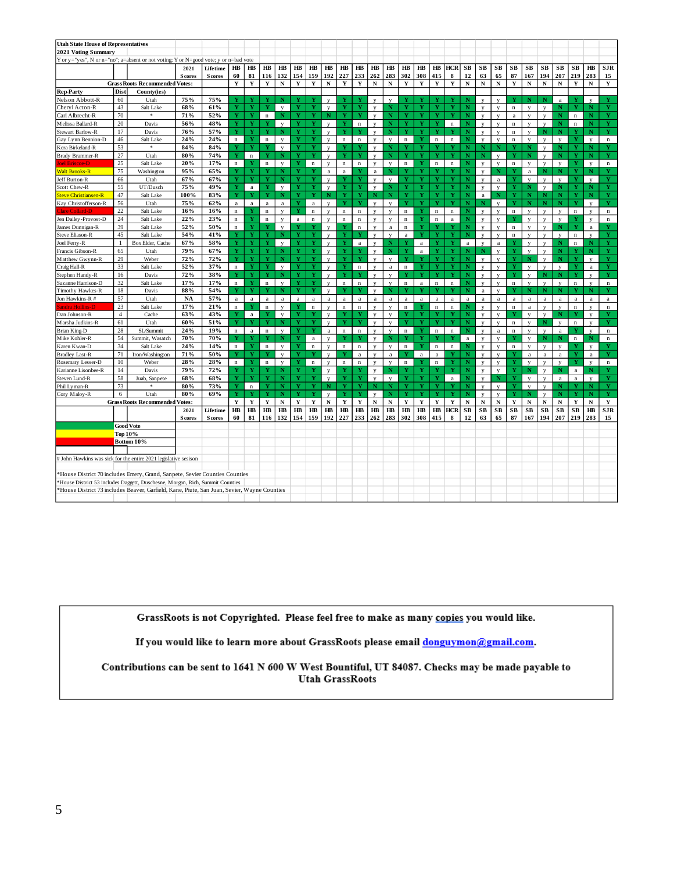| <b>Utah State House of Representatives</b>                                                                                                                                    |                |                                      |                        |                           |             |             |             |              |             |              |              |             |             |                |                         |             |                              |              |                         |                        |                |                         |             |                         |                         |              |              |              |                           |
|-------------------------------------------------------------------------------------------------------------------------------------------------------------------------------|----------------|--------------------------------------|------------------------|---------------------------|-------------|-------------|-------------|--------------|-------------|--------------|--------------|-------------|-------------|----------------|-------------------------|-------------|------------------------------|--------------|-------------------------|------------------------|----------------|-------------------------|-------------|-------------------------|-------------------------|--------------|--------------|--------------|---------------------------|
| 2021 Voting Summary                                                                                                                                                           |                |                                      |                        |                           |             |             |             |              |             |              |              |             |             |                |                         |             |                              |              |                         |                        |                |                         |             |                         |                         |              |              |              |                           |
| Y or y="yes", N or n="no"; a=absent or not voting; Y or N=good vote; y or n=bad vote                                                                                          |                |                                      |                        |                           |             |             |             |              |             |              |              |             |             |                |                         |             |                              |              |                         |                        |                |                         |             |                         |                         |              |              |              |                           |
|                                                                                                                                                                               |                |                                      |                        |                           | HВ          | HB          | $H\!B$      | $H\!B$       | $H\!B$      | $H\!B$       | $H\!B$       | HB          | $H\!B$      | $H\!B$         | $H\!B$                  | $H\!B$      | HB                           | $H\!B$       | <b>HCR</b>              | SB                     | SB             | SB                      | SB          | SB                      | SB                      | SB           | SB           | $H\!B$       | <b>SJR</b>                |
|                                                                                                                                                                               |                |                                      | 2021<br><b>S</b> cores | Lifetime<br><b>Scores</b> | 60          | 81          | 116         | 132          | 154         | 159          | 192          | 227         | 233         | 262            | 283                     | 302         | 308                          | 415          | 8                       | 12                     | 63             | 65                      | 87          | 167                     | 194                     | 207          | 219          | 283          | 15                        |
|                                                                                                                                                                               |                | <b>GrassRoots Recommended Votes:</b> |                        |                           | Y           | Y           | $\mathbf Y$ | $\mathbf N$  | Y           | Y            | $\mathbf N$  | Y           | $\mathbf Y$ | $\mathbf N$    | ${\bf N}$               | Y           | Y                            | $\mathbf Y$  | $\mathbf Y$             | ${\bf N}$              | $\mathbf N$    | ${\bf N}$               | $\mathbf Y$ | N                       | ${\bf N}$               | N            | Y            | $\mathbf N$  | $\mathbf Y$               |
| <b>Rep-Party</b>                                                                                                                                                              | Dist           | County(ies)                          |                        |                           |             |             |             |              |             |              |              |             |             |                |                         |             |                              |              |                         |                        |                |                         |             |                         |                         |              |              |              |                           |
| Nelson Abbott-R                                                                                                                                                               | 60             | Utah                                 | 75%                    | 75%                       |             | Y           | Y           | N            | Y           | Y            | $\mathbf{V}$ |             | v           | $\mathbf{V}$   | $\overline{V}$          |             |                              |              | Y                       | N                      | V              |                         |             | N                       | N                       | a            | Y            | $\mathbf{V}$ | Y                         |
| Cheryl Acton-R                                                                                                                                                                | 43             | Salt Lake                            | 68%                    | 61%                       | Y           | Ÿ           | Y           | $\mathbf{v}$ | Y           | Y            | $\mathbf{v}$ | Y           | Y           | $\mathbf{y}$   | N                       |             | Ÿ                            |              | Y                       | N                      | $\overline{V}$ | $\mathbf{v}$            | $\mathbf n$ | $\overline{V}$          | $\overline{\mathbf{v}}$ | Ν            | Ÿ            | N            | Ÿ                         |
| Carl Albrecht-R                                                                                                                                                               | 70             | $\ast$                               | 71%                    | 52%                       | Y           | Y           | $\mathbf n$ | $\mathbf N$  | Y           | Y            | N            | Y           | Y           | $\mathbf{v}$   | N                       | v           |                              | v            | Y                       | N                      | $\mathbf{V}$   | $\mathbf{v}$            | $\rm{a}$    | $\mathbf{V}$            | $\mathbf{v}$            | N            | $\mathbf n$  | N            | Y                         |
| Melissa Ballard-R                                                                                                                                                             | 20             | Davis                                | 56%                    | 48%                       | Y           | Y           | Y           | V            | Y           | Y            | y            | Y           | $\mathbf n$ | $\mathbf{y}$   | N                       |             |                              |              | $\mathbf n$             | N                      | y              | $\mathbf{v}$            | $\mathbf n$ | y                       | $\mathbf{v}$            | N            | $\mathbf n$  | N            | Y                         |
| Stewart Barlow-R                                                                                                                                                              | $17\,$         | Davis                                | 76%                    | 57%                       | Y           | Y           | Y           | N            | Y           | Y            | $\mathbf{y}$ | Y           |             | y              | Ń                       | Y           | Ÿ                            | Ÿ            |                         | $\mathbf N$            | $\mathbf{y}$   | $\mathbf{v}$            | $\mathbf n$ | y                       | N                       | N            | Ÿ            | N            | Y                         |
| Gay Lynn Bennion-D                                                                                                                                                            | 46             | Salt Lake                            | 24%                    | 24%                       | $\mathbf n$ | Y           | $\mathbf n$ | $\mathbf{v}$ | Y           | Y            | $\mathbf{v}$ | $\bf n$     | $\mathbf n$ | $\mathbf{v}$   | $\mathbf{v}$            | $\bf n$     |                              | $\mathbf n$  | $\mathbf n$             | N                      | $\mathbf{v}$   | $\mathbf{v}$            | $\bf n$     | $\mathbf{v}$            | $\overline{\mathbf{v}}$ | $\mathbf{V}$ | Y            | $\mathbf{V}$ | $\mathbf n$               |
| Kera Birkeland-R                                                                                                                                                              | 53             | $\pm$                                | 84%                    | 84%                       | Ÿ           | Y           | Y           | $\mathbf{V}$ | Y           | Y            | y            |             |             | y              | N                       |             | Y                            |              |                         | N                      |                |                         |             |                         | $\mathbf{v}$            | N            | Y            | N            | Ÿ                         |
| Brady Brammer-R                                                                                                                                                               | 27             | Utah                                 | 80%                    | 74%                       | Y           | $\bf n$     | Y           | N            | Y           | Y            | y            | ٦           | Y           | v              | N                       |             | Y                            |              | Ÿ                       | N                      |                | $\overline{\mathbf{v}}$ | Y           |                         | $\mathbf{v}$            | N            | Y            | N            | Y                         |
| <b>Joel Briscoe-D</b>                                                                                                                                                         | 25             | Salt Lake                            | 20%                    | 17%                       | $\mathbf n$ | Y           | $\mathbf n$ | $\mathbf{v}$ | Y           | $\mathbf n$  | $\mathbf{v}$ | $\bf n$     | $\mathbf n$ | y              | $\mathbf{v}$            | $\bf n$     | Y                            | $\bf n$      | $\bf n$                 | N                      | $\mathbf{v}$   | $\mathbf{v}$            | $\bf n$     |                         | $\overline{\mathbf{v}}$ | $\mathbf{v}$ | Y            | $\mathbf{v}$ | $\mathbf n$               |
| <b>Walt Brooks-R</b>                                                                                                                                                          | 75             | Washington                           | 95%                    | 65%                       | Y           | Y           | Y           | N            | Y           | Y            | $\rm{a}$     | $\bf{a}$    |             | a              | N                       |             | Ÿ                            |              | Y                       | $\mathbf N$            | $\mathbf{V}$   | N                       |             | $\mathbf{a}$            |                         | N            | Y            | N            | Y                         |
| Jeff Burton-R                                                                                                                                                                 | 66             | Utah                                 | 67%                    | 67%                       | Ÿ           | Y           | Ÿ           | N            | Y           |              | y            |             |             | y              | $\overline{\mathbf{v}}$ |             |                              |              | Ÿ                       | N                      | $\mathbf{V}$   | $\rm{a}$                |             | $\overline{V}$          | $\mathbf{v}$            | $\mathbf{V}$ | Y            | $\mathbf{V}$ | Y                         |
| Scott Chew-R                                                                                                                                                                  | 55             | UT/Dusch                             | 75%                    | 49%                       | Y           | $\rm{a}$    | Y           | $\mathbf{v}$ | Y           | Y            | $\mathbf{v}$ | Y           | Y           | $\mathbf{y}$   | N                       | Y           | Y                            | Y            | Y                       | $\mathbf N$            | $\mathbf{v}$   | $\mathbf{v}$            | Y           | N                       | $\mathbf{v}$            | N            | Y            | N            | Y                         |
| <b>Steve Christiansen-R</b>                                                                                                                                                   | 47             | Salt Lake                            | 100%                   | 83%                       | Ÿ           |             | Ÿ           | N            | Y           |              | N            | Y           | Y           | N              | N                       | Ÿ           | v                            | v            | Y                       | N                      | $\rm{a}$       |                         | Ÿ           | N                       | N                       | N            | v            | N            |                           |
| Kay Christofferson-R                                                                                                                                                          | 56             | Utah                                 | 75%                    | 62%                       | $\rm{a}$    | $\rm{a}$    | $\rm{a}$    | $\mathbf{a}$ | Y           | $\rm{a}$     | $\mathbf{v}$ | Y           | Y           | $\mathbf{v}$   | $\overline{V}$          | Ÿ           | Y                            |              | Y                       | N                      |                | $\mathbf{v}$            | Ÿ           | Ń                       | N                       | N            | Ÿ            | $\mathbf{v}$ | Y                         |
| Clare Collard-D                                                                                                                                                               | 22             | Salt Lake                            | 16%                    | 16%                       | n           | Y           | $\mathbf n$ | $\mathbf{V}$ | Y           | n            | $\mathbf{V}$ | $\bf n$     | $\bf n$     | y              | $\mathbf{V}$            | $\bf n$     | Y                            | $\bf n$      | $\mathbf n$             | N                      | $\mathbf{V}$   | $\mathbf{v}$            | $\bf n$     | $\mathbf{v}$            | $\mathbf{v}$            | V            | $\mathbf n$  | $\mathbf{V}$ | $\bf n$                   |
| Jen Dailey-Provost-D                                                                                                                                                          | 24             | Salt Lake                            | 22%                    | 23%                       | $\bf n$     | Y           | $\bf n$     | $\mathbf{V}$ | $\rm{a}$    | $\bf n$      | $\mathbf{v}$ | $\mathbf n$ | $\bf n$     | $\mathbf{v}$   | $\mathbf{V}$            | $\bf n$     | Ÿ                            | $\bf n$      | $\rm{a}$                | N                      | $\mathbf{V}$   | $\mathbf{v}$            |             | $\overline{V}$          | $\mathbf{v}$            | $\mathbf{V}$ | Y            | $\mathbf{V}$ | $\mathbf n$               |
| James Dunnigan-R                                                                                                                                                              | 39             | Salt Lake                            | 52%                    | 50%                       | n           | Y           | Y           | $\mathbf{V}$ | Y           | Y            | y            |             | $\mathbf n$ | y              | $\rm{a}$                | $\mathbf n$ | Y                            |              | Y                       | N                      | V              | $\mathbf{v}$            | $\mathbf n$ | V                       | $\mathbf{v}$            | N            | Y            | $\rm{a}$     | Y                         |
| Steve Eliason-R                                                                                                                                                               | 45             | Salt Lake                            | 54%                    | 41%                       | Y           | Ÿ           | Ÿ           | N            | Y           | Y            | y            | Y           |             | y              | $\mathbf{V}$            | a           | Y                            |              | Ÿ                       |                        | y              | $\mathbf{v}$            | $\bf n$     | V                       | V                       | $\mathbf{v}$ | $\bf n$      | V            | Y                         |
| Joel Ferry-R                                                                                                                                                                  | $\mathbf{1}$   | Box Elder, Cache                     | 67%                    | 58%                       | Y           | Y           | Y           | $\mathbf{V}$ | Y           | Y            | $\mathbf{y}$ | Y           | $\rm{a}$    | $\mathbf{y}$   | N                       |             | $\rm{a}$                     | Y            | Y                       | $\mathbf{a}$           | $\mathbf{v}$   | a                       |             | y                       | y                       | N            | $\bf n$      | N            | Y                         |
| Francis Gibson-R                                                                                                                                                              | 65             | Utah                                 | 79%                    | 67%                       | Y           | Y           | Y           | ${\bf N}$    | Y           | Ÿ            | $\mathbf{v}$ | Y           |             | $\mathbf{v}$   | Ń                       | Ÿ           | a                            | Ÿ            | $\overline{\mathbf{Y}}$ | N                      |                | $\mathbf{v}$            |             | $\mathbf{v}$            | $\mathbf{v}$            | Ń            |              | N            | Ÿ                         |
| Matthew Gwynn-R                                                                                                                                                               | 29             | Weber                                | 72%                    | 72%                       | Y           | Y           | Y           | N            | Y           | Y            | $\mathbf{v}$ | Y           | v           | $\mathbf{v}$   | $\mathbf{V}$            | Y           |                              | Y            | Y                       | N                      | $\mathbf{V}$   | $\mathbf{v}$            | Y           |                         | $\mathbf{v}$            | N            | Ÿ            | $\mathbf{v}$ | Y                         |
| Craig Hall-R                                                                                                                                                                  | 33             | Salt Lake                            | 52%                    | 37%                       | $\mathbf n$ | Y           | Y           | y            | Y           | Y            | y            | Y           | $\mathbf n$ | y              | $\rm{a}$                | $\,$ n      | Y                            | Y            | Y                       | N                      | y              | $\mathbf{v}$            | Y           | y                       | y                       | y            | Y            | $\rm{a}$     | Y                         |
| Stephen Handy-R                                                                                                                                                               | 16             | Davis                                | 72%                    | 38%                       | Y           | Y           | Y           | N            | $\mathbf Y$ | Y            | $\mathbf{y}$ | Y           | Y           | y              | $\overline{\mathbf{v}}$ |             | Y                            | $\mathbf{v}$ | Y                       | N                      | $\overline{V}$ | $\overline{\mathbf{v}}$ |             | y                       | N                       | N            | Y            | $\mathbf{v}$ | Y                         |
| Suzanne Harrison-D                                                                                                                                                            | 32             | Salt Lake                            | 17%                    | 17%                       | $\mathbf n$ | $\mathbf Y$ | $\mathbf n$ | $\mathbf{y}$ | Y           | Y            | $\mathbf{y}$ | $\mathbf n$ | $\mathbf n$ | $\mathbf{y}$   | y                       | $\mathbf n$ | $\rm{a}$                     | $\mathbf n$  | $\mathbf n$             | N                      | $\mathbf{V}$   | $\mathbf{v}$            | $\mathbf n$ | V                       | $\mathbf{v}$            | V            | $\mathbf n$  | $\mathbf{V}$ | $\mathbf n$               |
| Timothy Hawkes-R                                                                                                                                                              | 18             | Davis                                | 88%                    | 54%                       | Y           | Ÿ           | Y           | N            | Y           | Y            | V            |             | Y           | y              | N                       |             |                              |              |                         | N                      | a              | $\overline{\mathbf{v}}$ |             |                         | N                       | N            | Ÿ            | N            | Ÿ                         |
| Jon Hawkins-R#                                                                                                                                                                | 57             | Utah                                 | NA                     | 57%                       | $\rm{a}$    | $\rm{a}$    | $\rm{a}$    | $\rm{a}$     | $\rm{a}$    | $\rm{a}$     | $\rm{a}$     | $\rm{a}$    | $\rm{a}$    | $\bf{a}$       | $\rm{a}$                | a           | a                            | $\rm{a}$     | $\rm{a}$                | a                      | a              | $\rm{a}$                | $\rm{a}$    | $\mathbf{a}$            | $\rm{a}$                | a            | $\rm{a}$     | a            | $\rm{a}$                  |
| Sandra Hollins-D                                                                                                                                                              | 23             | Salt Lake                            | 17%                    | 21%                       | n           | Y           | $\mathbf n$ | $\mathbf{V}$ | Y           | $\mathbf n$  | $\mathbf{V}$ | $\bf n$     | $\mathbf n$ | y              | y                       | $\mathbf n$ |                              | $\mathbf n$  | $\mathbf n$             | N                      | $\mathbf{V}$   | $\overline{\mathbf{v}}$ | $\mathbf n$ | $\mathbf{a}$            | y                       | $\mathbf{V}$ | $\mathbf n$  | V            | $\bf n$                   |
| Dan Johnson-R                                                                                                                                                                 | $\overline{4}$ | Cache                                | 63%                    | 43%                       | Ÿ           | $\rm{a}$    | Y           | $\mathbf{v}$ | Y           | Y            | $\mathbf{v}$ |             |             | $\mathbf{v}$   | $\mathbf{v}$            |             | Ÿ                            |              | Y                       | N                      | $\overline{V}$ | $\mathbf{v}$            |             | $\mathbf{v}$            | $\mathbf{v}$            | N            | Ÿ            | $\mathbf{v}$ | Y                         |
| Marsha Judkins-R                                                                                                                                                              | 61             | Utah                                 | 60%                    | 51%                       | Y           |             | Y           | ${\bf N}$    | Y           | Ÿ            | $\mathbf{v}$ | Y           |             | $\mathbf{v}$   | $\overline{V}$          |             |                              |              | Ÿ                       | N                      | $\mathbf{v}$   | $\mathbf{v}$            | $\mathbf n$ | $\mathbf{v}$            | N                       | $\mathbf{v}$ | $\mathbf n$  | $\mathbf{V}$ | Y                         |
| Brian King-D                                                                                                                                                                  | 28             | SL/Summit                            | 24%                    | 19%                       | n           | a           | $\mathbf n$ | $\mathbf{v}$ | Y           | Y            | $\rm{a}$     | $\mathbf n$ | $\mathbf n$ | $\mathbf{v}$   | $\mathbf{v}$            | $\mathbf n$ | Ÿ                            | $\mathbf n$  | $\mathbf n$             | N                      | $\mathbf{V}$   | $\rm{a}$                | $\bf n$     | $\overline{\mathbf{v}}$ | $\mathbf{v}$            | a            | v            | $\mathbf{v}$ | $\mathbf n$               |
| Mike Kohler-R                                                                                                                                                                 | 54             | Summit, Wasatch                      | 70%                    | 70%                       | Y           | Y           |             | N            | Y           | $\rm{a}$     | $\mathbf{V}$ |             |             | $\mathbf{v}$   |                         |             | Ÿ                            |              |                         | $\rm{a}$               | $\mathbf{V}$   | $\overline{\mathbf{v}}$ |             | $\overline{\mathbf{v}}$ | N                       | N            | $\bf n$      | N            | $\mathbf n$               |
| Karen Kwan-D                                                                                                                                                                  | 34             | Salt Lake                            | 24%                    | 14%                       | $\bf n$     | Y           | n           | $\mathbf{V}$ | Y           | $\mathbf n$  | V            | $\mathbf n$ | $\bf n$     | y              | V                       | $\,$ n      | v                            | $\mathbf n$  | $\mathbf n$             |                        | V              | $\mathbf{v}$            | $\mathbf n$ | V                       | v                       | $\mathbf{V}$ | Y            | $\mathbf{V}$ |                           |
| <b>Bradley Last-R</b>                                                                                                                                                         | 71             | Iron/Washington                      | 71%                    | 50%                       | Y           | Y           | Y           | $\mathbf{v}$ | Y           | Y            | V            | ٦           | $\rm{a}$    | $\mathbf{y}$   | $\rm{a}$                |             | a                            | $\rm{a}$     | Y                       | N                      | $\mathbf{V}$   | $\overline{\mathbf{v}}$ |             | $\bf{a}$                | $\rm{a}$                | $\mathbf{a}$ | Y            | $\rm{a}$     | Y                         |
| Rosemary Lesser-D                                                                                                                                                             | 10             | Weber                                | 28%                    | 28%                       | $\mathbf n$ | Y           | $\mathbf n$ | $\mathbf{v}$ | Y           | $\mathbf{n}$ | $\mathbf{v}$ | $\mathbf n$ | $\mathbf n$ | $\overline{V}$ | $\mathbf{V}$            | $\mathbf n$ | Y                            | $\bf n$      | Y                       | N                      | $\mathbf{v}$   | $\overline{\mathbf{v}}$ | Ÿ           | $\overline{\mathbf{v}}$ | v                       | $\mathbf{V}$ | Y            | $\mathbf{V}$ | $\mathbf n$               |
| Karianne Lisonbee-R                                                                                                                                                           | 14             | Davis                                | 79%                    | 72%                       | Y           | Y           | Y           | N            | Y           | Y            | $\mathbf{V}$ |             |             | $\mathbf{V}$   | N                       |             | v                            |              | Y                       | N                      | $\mathbf{V}$   | $\mathbf{V}$            | Y           | N                       | $\overline{\mathbf{v}}$ | N            | $\rm{a}$     | N            | Y                         |
| Steven Lund-R                                                                                                                                                                 | 58             | Juab, Sanpete                        | 68%                    | 68%                       | Ÿ           | Ÿ           | Y           | ${\bf N}$    | Y           | Y            | $\mathbf{v}$ | Y           | Y           | $\mathbf{v}$   | $\mathbf{V}$            | v           | v                            |              | a                       | N                      | $\overline{V}$ |                         |             | y                       | V                       | $\mathbf{a}$ | $\mathbf{a}$ | $\mathbf{V}$ | Y                         |
| Phil Lyman-R                                                                                                                                                                  | 73             | $\ast$                               | 80%                    | 73%                       | Y           | $\bf n$     | Y           | ${\bf N}$    | $\mathbf Y$ | Y            | N            | Y           | Y           | N              | N                       | Y           | Y<br>$\overline{\mathbf{v}}$ | Y            | Y                       | $\mathbf N$            | $\mathbf{v}$   | $\mathbf{v}$            |             | y                       | $\overline{\mathbf{v}}$ | N            | v            | N            | Y                         |
| Cory Maloy-R                                                                                                                                                                  | 6              | Utah                                 | 80%                    | 69%                       | Ý           |             | Y           | N            | Y           | Y            | $\mathbf{y}$ | Ÿ           | Y           | $\mathbf{y}$   | N                       |             |                              |              | Ÿ                       | Ń                      | $\overline{V}$ | $\mathbf{v}$            |             |                         | $\overline{\mathbf{v}}$ | Ń            | Ÿ            | Ń            |                           |
|                                                                                                                                                                               |                | <b>GrassRoots Recommended Votes:</b> |                        |                           | Y           | $\mathbf Y$ | $\mathbf Y$ | $\mathbf N$  | $\mathbf Y$ | $\mathbf Y$  | ${\bf N}$    | Y<br>HB     | $\mathbf Y$ | ${\bf N}$      | ${\bf N}$               | $\mathbf Y$ | $\mathbf Y$                  | $\mathbf Y$  | $\mathbf Y$             | ${\bf N}$              | ${\bf N}$      | ${\bf N}$               | $\mathbf Y$ | $\mathbf N$             | ${\bf N}$               | $\mathbf N$  | $\mathbf Y$  | $\mathbf N$  | $\mathbf Y$<br><b>SJR</b> |
|                                                                                                                                                                               |                |                                      | 2021                   | Lifetime                  | $H\!B$      | HB          | $H\!B$      | $H\!B$       | $H\!B$      | $H\!B$       | HB           |             | $H\!B$      | $H\!B$         | HB                      | $H\!B$      | HB                           | $H\!B$       | <b>HCR</b>              | $\mathbf{S}\mathbf{B}$ | SB             | SB                      | SB          | SB                      | SB                      | SB           | SB           | HB           |                           |
|                                                                                                                                                                               |                |                                      | <b>Scores</b>          | <b>Scores</b>             | 60          | 81          | 116         | 132          | 154         | 159          | 192          | 227         | 233         | 262            | 283                     | 302         | 308                          | 415          | 8                       | 12                     | 63             | 65                      | 87          | 167                     | 194                     | 207          | 219          | 283          | 15                        |
|                                                                                                                                                                               | Top 10%        | <b>Good Vote</b>                     |                        |                           |             |             |             |              |             |              |              |             |             |                |                         |             |                              |              |                         |                        |                |                         |             |                         |                         |              |              |              |                           |
|                                                                                                                                                                               |                | Bottom 10%                           |                        |                           |             |             |             |              |             |              |              |             |             |                |                         |             |                              |              |                         |                        |                |                         |             |                         |                         |              |              |              |                           |
|                                                                                                                                                                               |                |                                      |                        |                           |             |             |             |              |             |              |              |             |             |                |                         |             |                              |              |                         |                        |                |                         |             |                         |                         |              |              |              |                           |
|                                                                                                                                                                               |                |                                      |                        |                           |             |             |             |              |             |              |              |             |             |                |                         |             |                              |              |                         |                        |                |                         |             |                         |                         |              |              |              |                           |
| # John Hawkins was sick for the entire 2021 legislative sesison                                                                                                               |                |                                      |                        |                           |             |             |             |              |             |              |              |             |             |                |                         |             |                              |              |                         |                        |                |                         |             |                         |                         |              |              |              |                           |
|                                                                                                                                                                               |                |                                      |                        |                           |             |             |             |              |             |              |              |             |             |                |                         |             |                              |              |                         |                        |                |                         |             |                         |                         |              |              |              |                           |
| House District 70 includes Emery, Grand, Sanpete, Sevier Counties Counties                                                                                                    |                |                                      |                        |                           |             |             |             |              |             |              |              |             |             |                |                         |             |                              |              |                         |                        |                |                         |             |                         |                         |              |              |              |                           |
| House District 53 includes Daggett, Duschesne, Morgan, Rich, Summit Counties<br>House District 73 includes Beaver, Garfield, Kane, Piute, San Juan, Sevier, Wayne Counties ** |                |                                      |                        |                           |             |             |             |              |             |              |              |             |             |                |                         |             |                              |              |                         |                        |                |                         |             |                         |                         |              |              |              |                           |
|                                                                                                                                                                               |                |                                      |                        |                           |             |             |             |              |             |              |              |             |             |                |                         |             |                              |              |                         |                        |                |                         |             |                         |                         |              |              |              |                           |
|                                                                                                                                                                               |                |                                      |                        |                           |             |             |             |              |             |              |              |             |             |                |                         |             |                              |              |                         |                        |                |                         |             |                         |                         |              |              |              |                           |

GrassRoots is not Copyrighted. Please feel free to make as many copies you would like.

If you would like to learn more about GrassRoots please email donguymon@gmail.com.

Contributions can be sent to 1641 N 600 W West Bountiful, UT 84087. Checks may be made payable to **Utah GrassRoots**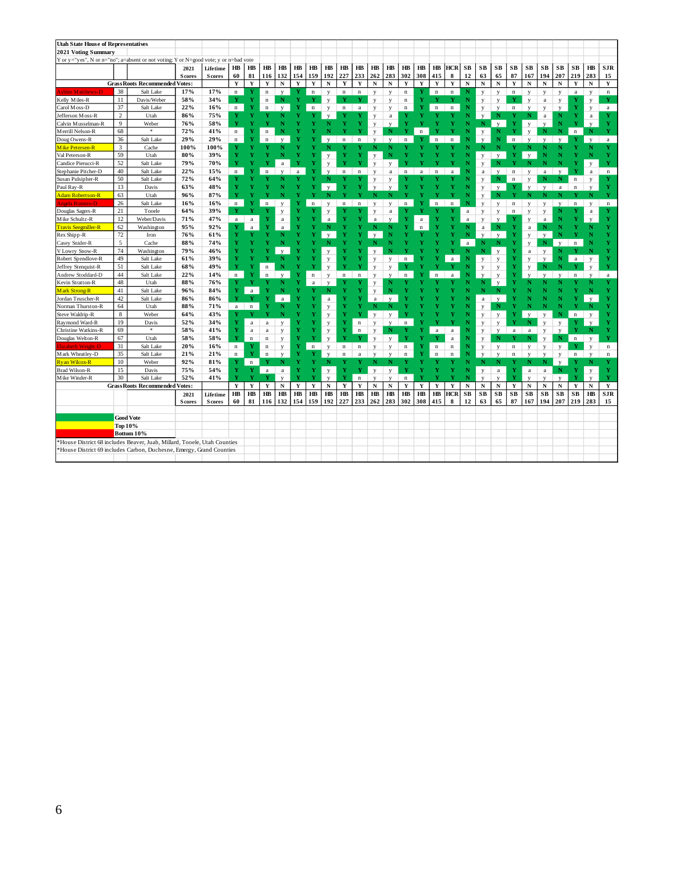| <b>Utah State House of Representatives</b>                                           |                      |                                      |                |               |             |                   |                         |                         |              |             |              |             |             |                         |                         |             |             |                         |                  |             |              |              |                        |                         |              |              |              |              |                   |
|--------------------------------------------------------------------------------------|----------------------|--------------------------------------|----------------|---------------|-------------|-------------------|-------------------------|-------------------------|--------------|-------------|--------------|-------------|-------------|-------------------------|-------------------------|-------------|-------------|-------------------------|------------------|-------------|--------------|--------------|------------------------|-------------------------|--------------|--------------|--------------|--------------|-------------------|
| 2021 Voting Summary                                                                  |                      |                                      |                |               |             |                   |                         |                         |              |             |              |             |             |                         |                         |             |             |                         |                  |             |              |              |                        |                         |              |              |              |              |                   |
| Y or y="yes", N or n="no"; a=absent or not voting; Y or N=good vote; y or n=bad vote |                      |                                      |                |               |             |                   |                         |                         |              |             |              |             |             |                         |                         |             |             |                         |                  |             |              |              |                        |                         |              |              |              |              |                   |
|                                                                                      |                      |                                      | 2021           | Lifetime      | $H\!B$      | $H\!B$            | $H\!B$                  | $H\!B$                  | $H\!B$       | $H\!B$      | $H\!B$       | $H\!B$      | $H\!B$      | $H\!B$                  | $H\!B$                  | $H\!B$      | $H\!B$      | $H\!B$                  | HCR              | SB          | SB           | SB           | $\mathbf{S}\mathbf{B}$ | SB                      | SB           | SB           | SB           | $H\!B$       | <b>SJR</b>        |
|                                                                                      |                      |                                      |                |               | 60          |                   | 116                     | 132                     | 154          | 159         | 192          | 227         | 233         | 262                     | 283                     | 302         | 308         |                         |                  | 12          | 63           | 65           | 87                     |                         | 194          | 207          | 219          | 283          |                   |
|                                                                                      |                      | <b>GrassRoots Recommended Votes:</b> | <b>S</b> cores | <b>Scores</b> | $\mathbf Y$ | 81<br>$\mathbf Y$ | $\mathbf Y$             | $\mathbf N$             | $\mathbf Y$  | $\mathbf Y$ | ${\bf N}$    | Y           | $\mathbf Y$ | ${\bf N}$               | N                       | $\mathbf Y$ | $\mathbf Y$ | 415<br>$\mathbf Y$      | 8<br>$\mathbf Y$ | ${\bf N}$   | $\mathbf N$  | N            | $\mathbf Y$            | 167<br>$\mathbf N$      | ${\bf N}$    | N            | $\mathbf Y$  | ${\bf N}$    | 15<br>$\mathbf Y$ |
|                                                                                      | 38                   | Salt Lake                            | 17%            | 17%           |             |                   |                         |                         |              |             |              |             |             |                         |                         |             |             |                         |                  |             |              |              |                        |                         |              |              |              |              |                   |
| shlee Matthews-D                                                                     | 11                   |                                      |                |               | $\mathbf n$ | Y                 | n                       | $\mathbf{V}$            | Y            | $\mathbf n$ | y            | $\mathbf n$ | $\mathbf n$ | y                       | y                       | $\bf n$     | Y           | $\mathbf n$             | $\mathbf n$      | N           | y            | y            | $\mathbf n$            | y                       | y            | y            | $\mathbf{a}$ | y            | $\mathbf n$       |
| Kelly Miles-R                                                                        |                      | Davis/Weber                          | 58%            | 34%           | Y           | Y<br>Ÿ            | $\bf n$                 | N                       |              |             | y            | Y           | Y           | y                       | y                       | $\mathbf n$ | Y           |                         |                  | N           | y            | y            | Y                      | y                       | $\rm{a}$     | y            | Y            | y            | Y                 |
| Carol Moss-D                                                                         | 37<br>$\overline{c}$ | Salt Lake                            | 22%            | 16%           | $\mathbf n$ | Ÿ                 | $\bf n$                 | $\mathbf{v}$            | Y            | n           | y            | $\mathbf n$ | $\rm{a}$    | y                       | y                       | n           | Y           | $\bf n$                 | $\mathbf n$      | N           | y            | V            | $\mathbf n$            | v                       | y            | v            | Y            | y            | $\rm{a}$          |
| Jefferson Moss-R                                                                     |                      | Utah                                 | 86%            | 75%           | Y           | Y                 | Y                       | N                       |              |             | $\mathbf{v}$ | Y           | Y           | y                       | $\rm{a}$                | Y           | Y           |                         |                  | N           | y            | N            | Y                      | N                       | $\rm{a}$     | N            | Y            | a            | Y                 |
| Calvin Musselman-R                                                                   | 9                    | Weber<br>$\approx$                   | 76%            | 58%           | Y           |                   |                         | N                       |              |             |              | Y           | Y           | y                       | $\mathbf{V}$            | Y           |             |                         |                  | Ν           | N            | $\mathbf{v}$ | Y                      | y                       | y            | N            | Y            | V            | Y                 |
| Merrill Nelson-R                                                                     | 68                   |                                      | 72%            | 41%           | n           | Y                 | $\overline{\mathbf{n}}$ |                         |              |             |              |             |             | $\mathbf{y}$            | N                       | Y           | $\mathbf n$ |                         |                  |             | $\mathbf{y}$ | N            | Y                      | $\mathbf{V}$            | N            | N            | $\mathbf n$  | $\mathbb N$  | Y                 |
| Doug Owens-R                                                                         | 36                   | Salt Lake                            | 29%            | 29%           | $\mathbf n$ |                   | $\mathbf n$             |                         |              |             |              | $\bf n$     | $\mathbf n$ | $\overline{\mathbf{v}}$ | $\mathbf{v}$            | $\bf n$     |             | $\overline{\mathbf{n}}$ | n                |             | $\mathbf{v}$ | N            | $\mathbf n$            | $\overline{\mathbf{v}}$ | $\mathbf{V}$ | $\mathbf{V}$ | Y            | $\mathbf{v}$ | $\rm{a}$          |
| Mike Petersen-R                                                                      | 3                    | Cache                                | 100%           | 100%          | Y           | Ÿ                 | Y                       | Ν                       |              |             |              |             | Y           | N                       | N                       |             | Y           |                         |                  | N           | N            | $\mathbf{N}$ | Y                      | N                       | N            | N            | Ÿ            | Ν            | Y                 |
| Val Peterson-R                                                                       | 59                   | Utah                                 | 80%            | 39%           | Y           |                   | v                       | N                       | $\mathbf{v}$ |             | y            | Y           | Y           | y                       | Ñ                       |             |             |                         | Y                | N           | y            | $\mathbf{v}$ | Y                      | $\mathbf{v}$            | N            | N            |              | N            | Y                 |
| Candice Pierucci-R                                                                   | 52                   | Salt Lake                            | 79%            | 70%           | Y           |                   |                         | a                       | v            |             | y            |             | v           | $\mathbf{V}$            | $\mathbf{V}$            |             |             |                         |                  |             | y            | N            | Y                      | N                       | N            | N            |              | y            | Y                 |
| Stephanie Pitcher-D                                                                  | 40                   | Salt Lake                            | 22%            | 15%           | $\mathbf n$ |                   | $\mathbf n$             | $\overline{\mathbf{v}}$ | $\bf{a}$     |             | y            | $\bf n$     | $\mathbf n$ | y                       | a                       | n           | a           | $\overline{\mathbf{n}}$ | a                |             | $\rm{a}$     | V            | $\bf n$                | y                       | a            | V            |              | $\rm{a}$     | $\mathbf n$       |
| Susan Pulsipher-R                                                                    | 50                   | Salt Lake                            | 72%            | 64%           | Y           |                   |                         | N                       |              |             |              |             |             | y                       | y                       | v           |             |                         |                  |             | y            | $\mathbf N$  | $\mathbf n$            | y                       | N            | N            | $\mathbf n$  | y            | Y                 |
| Paul Ray-R                                                                           | 13                   | Davis                                | 63%            | 48%           | Y           |                   |                         | N                       | Y            |             | $\mathbf{v}$ |             | Ÿ           | $\mathbf{V}$            | $\mathbf{V}$            | Y           |             |                         |                  |             | y            | $\mathbf{v}$ | Y                      | $\mathbf{V}$            | $\mathbf{V}$ | a            | $\mathbf n$  | $\mathbf{V}$ | Y                 |
| <b>Adam Robertson-R</b>                                                              | 63                   | Utah                                 | 96%            | 87%           | Y           |                   |                         | N                       |              |             |              |             | v           | N                       | N                       |             |             |                         |                  |             | y            | N            | Y                      | N                       | N            | N            | v            | N            | Y                 |
| ngela Romero-D                                                                       | 26                   | Salt Lake                            | 16%            | 16%           | $\mathbf n$ | Y                 | $\mathbf n$             | $\mathbf{V}$            | Y            | $\mathbf n$ | y            | $\mathbf n$ | $\mathbf n$ | y                       | $\overline{V}$          | $\mathbf n$ |             | $\mathbf{r}$            | $\mathbf n$      |             | v            | y            | $\mathbf n$            | y                       | у            | $\mathbf{V}$ | $\mathbf n$  | y            | $\mathbf n$       |
| Douglas Sagers-R                                                                     | 21                   | Tooele                               | 64%            | 39%           | Y           | Y                 | Y                       | y                       | Y            |             | y            |             |             | y                       | a                       | Y           | Y           |                         |                  | $\rm{a}$    | y            | y            | $\mathbf n$            | y                       | y            | N            |              | $\rm{a}$     | Y                 |
| Mike Schultz-R                                                                       | 12                   | Weber/Davis                          | 71%            | 47%           | a           | $\mathbf{a}$      | Y                       | $\rm{a}$                | Ÿ            |             | a            |             |             | a                       |                         | Y           | a           |                         |                  | a           | V            | $\mathbf{v}$ | Y                      | y                       | a            | N            | Y            | v            | Y                 |
| <b>Travis Seegmiller-R</b>                                                           | 62                   | Washington                           | 95%            | 92%           | Y           | a                 | Y                       | a                       | Ÿ            |             | N            |             | Ÿ           | N                       | N                       | Y           | $\mathbf n$ |                         |                  | N           | $\rm{a}$     | ${\bf N}$    | Ÿ                      | $\mathbf{a}$            | N            | N            | Y            |              | Y                 |
| Rex Shipp-R                                                                          | 72                   | Iron                                 | 76%            | 61%           | Y           | v                 | Y                       | N                       |              |             | $\mathbf{v}$ |             |             | $\mathbf{v}$            | N                       |             |             |                         |                  | N           | $\mathbf{v}$ | $\mathbf{v}$ | Y                      | y                       | $\mathbf{V}$ | N            |              |              | Y                 |
| Casey Snider-R                                                                       | 5                    | Cache                                | 88%            | 74%           | Y           |                   |                         | N                       |              |             | w            |             |             |                         | N                       |             |             |                         |                  | a           | N            | N            | Y                      | y                       | $\mathbf N$  | $\mathbf{V}$ | $\mathbf n$  |              | v                 |
| V Lowry Snow-R                                                                       | 74                   | Washington                           | 79%            | 46%           | Y           |                   |                         | $\mathbf{V}$            | Y            |             | y            | Y           |             | y                       | N                       |             |             |                         |                  | N           | N            | y            | Y                      | $\bf{a}$                | y            | N            |              |              | Y                 |
| Robert Spendlove-R                                                                   | 49                   | Salt Lake                            | 61%            | 39%           | Ÿ           |                   |                         | N                       |              |             | ${\bf y}$    | Y           | Ÿ           | y                       | y                       | $\bf n$     |             |                         |                  |             | v            | y            | Y                      | y                       | $\mathbf{v}$ | N            | $\bf{a}$     | y            | Y                 |
| Jeffrey Stenquist-R                                                                  | 51                   | Salt Lake                            | 68%            | 49%           | Y           | Ÿ                 | $\overline{\mathbf{n}}$ | N                       |              |             | y            | Y           | Y           | y                       | y                       | Y           |             |                         |                  | N           | y            | y            | Ÿ                      | y                       | N            | N            | Y            | y            | Y                 |
| Andrew Stoddard-D                                                                    | 44                   | Salt Lake                            | 22%            | 14%           | $\mathbf n$ | Y                 | $\mathbf n$             | $\mathbf{v}$            | N            | $\mathbf n$ | y            | $\mathbf n$ | $\mathbf n$ | y                       | V                       | n           |             | n                       | a                |             | V            | y            | Ÿ                      | $\mathbf{v}$            | $\mathbf{V}$ | $\mathbf{v}$ | $\mathbf n$  | $\mathbf{v}$ | $\rm{a}$          |
| Kevin Stratton-R                                                                     | $48\,$               | Utah                                 | 88%            | 76%           | Y           | v                 | Y                       | N                       | Y            | $\rm{a}$    | $\mathbf{V}$ | Y           |             | y                       | N                       |             |             |                         |                  |             | Ν            | y            | Ÿ                      | N                       | N            | N            |              |              | Y                 |
| Mark Strong-R                                                                        | 41                   | Salt Lake                            | 96%            | 84%           | Y           | $\rm{a}$          | Y                       | N                       | Y            | Y           | N            | Y           | Ÿ           | y                       | N                       |             |             |                         |                  |             | N            | N            | Ÿ                      | N                       | N            | N            |              | N            | Y                 |
| Jordan Teuscher-R                                                                    | 42                   | Salt Lake                            | 86%            | 86%           | Y           |                   | Ÿ                       | $\rm{a}$                |              |             | $\rm{a}$     | Y           |             | $\bf{a}$                | $\mathbf{V}$            |             |             |                         |                  |             | $\rm{a}$     | $\mathbf{v}$ |                        | N                       | N            | Ν            | Ÿ            | $\mathbf{V}$ | Y                 |
| Norman Thurston-R                                                                    | 64                   | Utah                                 | 88%            | 71%           | a           | $\mathbf n$       | Y                       | N                       |              |             | y            | Y           | Ÿ           | N                       | N                       |             |             |                         |                  |             | y            | N            |                        | N                       | N            | N            | Y            | N            | Y                 |
| Steve Waldrip-R                                                                      | 8                    | Weber                                | 64%            | 43%           | Y           | v                 | Y                       | N                       |              |             | y            | Y           | v           | V                       | $\overline{\mathbf{v}}$ |             |             |                         |                  |             | y            | y            |                        | $\mathbf{V}$            | y            | N            | $\mathbf n$  | $\mathbf{V}$ | Y                 |
| Raymond Ward-R                                                                       | 19                   | Davis                                | 52%            | 34%           | Y           | a                 | $\rm{a}$                | y                       | Y            |             | $\mathbf y$  | Y           | $\mathbf n$ | y                       | V                       | $\mathbf n$ |             |                         |                  |             | y            | y            | Y                      | N                       | y            | $\mathbf{V}$ | v            | $\mathbf{V}$ | Y                 |
| Christine Watkins-R                                                                  | 69                   | $\ast$                               | 58%            | 41%           | Y           | $\rm{a}$          | $\rm{a}$                | y                       | Ÿ            | v           | y            | Y           | $\,$ n      | y                       | Ν                       |             |             | a                       | $\mathbf{a}$     | N           | y            | y            | $\rm{a}$               | $\rm{a}$                | y            | $\mathbf{V}$ | Y            | N            | Y                 |
| Douglas Welton-R                                                                     | 67                   | Utah                                 | 58%            | 58%           | Y           | n                 | $\bf n$                 | y                       | Y            |             | y            | Y           |             | y                       | $\mathbf{V}$            |             |             |                         | a                | N           | y            | N            |                        | N                       | y            | N            | $\mathbf n$  | y            | Y                 |
| Elizabeth Weight-D                                                                   | 31                   | Salt Lake                            | 20%            | 16%           | $\mathbf n$ | Y                 | n                       | y                       | Y            | $\bf n$     | y            | $\bf n$     | $\mathbf n$ | y                       | y                       | $\bf n$     | Y           | $\bf n$                 | $\mathbf n$      | N           | y            | y            | $\mathbf n$            | y                       | y            | y            | Y            | y            | $\mathbf n$       |
| Mark Wheatley-D                                                                      | 35                   | Salt Lake                            | 21%            | 21%           | n           | Y                 | $\bf n$                 | $\mathbf{V}$            | Y            |             | V            | $\bf n$     | $\rm{a}$    | y                       | V                       | $\bf n$     | Y           | $\mathbf n$             | $\bf n$          |             | v            | v            | $\bf n$                | V                       | V            | у            | $\mathbf n$  | $\mathbf{V}$ | $\mathbf n$       |
| <b>Ryan Wilcox-R</b>                                                                 | 10                   | Weber                                | 92%            | 81%           | Y           | $\mathbf n$       | Y                       | N                       | Y            |             | N            | v           | Y           | N                       | N                       | Y           | Y           |                         |                  | N           | N            | N            |                        | N                       | N            | $\mathbf{V}$ | Y            | Ν            | Y                 |
| <b>Brad Wilson-R</b>                                                                 | 15                   | Davis                                | 75%            | 54%           | Y           | Y                 | a                       | $\rm{a}$                | Y            | Y           | $\mathbf{y}$ | Y           | Y           | $\mathbf{v}$            | $\overline{V}$          | Y           | v           |                         | Y                | N           | $\mathbf{v}$ | $\bf a$      | Y                      | $\bf{a}$                | $\rm{a}$     | $\mathbf N$  | Y            | y            | Y                 |
| Mike Winder-R                                                                        | 30                   | Salt Lake                            | 52%            | 41%           | Ÿ           |                   |                         | $\mathbf{V}$            | Ÿ            |             | V            | Y           | $\mathbf n$ | $\mathbf{V}$            | $\mathbf{V}$            | $\bf n$     |             |                         |                  |             | $\mathbf{v}$ | $\mathbf{V}$ | Ÿ                      | $\mathbf{V}$            | $\mathbf{v}$ | V            | Ÿ            | $\mathbf{V}$ | Y                 |
|                                                                                      |                      | <b>GrassRoots Recommended Votes:</b> |                |               | $\mathbf Y$ | $\mathbf Y$       | Y                       | $\mathbf N$             | $\mathbf Y$  | $\mathbf Y$ | $\mathbf N$  | $\mathbf Y$ | Y           | $\mathbf N$             | ${\bf N}$               | Y           | $\mathbf Y$ | $\mathbf Y$             | Y                | $\mathbf N$ | ${\bf N}$    | $\mathbf N$  | $\mathbf Y$            | $\mathbf N$             | $\mathbf N$  | N            | $\mathbf Y$  | ${\bf N}$    | $\mathbf Y$       |
|                                                                                      |                      |                                      | 2021           | Lifetime      | $H\!B$      | HB                | $H\!B$                  | $H\!B$                  | $H\!B$       | $H\!B$      | HB           | HB          | $H\!B$      | $H\!B$                  | HB                      | $H\!B$      | $H\!B$      | $H\!B$                  | <b>HCR</b>       | SB          | SB           | SB           | SB                     | SB                      | SB           | SB           | ${\bf SB}$   | $H\!B$       | <b>SJR</b>        |
|                                                                                      |                      |                                      | <b>S</b> cores | <b>Scores</b> | 60          | 81                | 116                     | 132                     | 154          | 159         | 192          | 227         | 233         | 262                     | 283                     | 302         | 308         | 415                     | 8                | 12          | 63           | 65           | 87                     | 167                     | 194          | 207          | 219          | 283          | 15                |
|                                                                                      |                      |                                      |                |               |             |                   |                         |                         |              |             |              |             |             |                         |                         |             |             |                         |                  |             |              |              |                        |                         |              |              |              |              |                   |
|                                                                                      | <b>Good Vote</b>     |                                      |                |               |             |                   |                         |                         |              |             |              |             |             |                         |                         |             |             |                         |                  |             |              |              |                        |                         |              |              |              |              |                   |
|                                                                                      | Top 10%              |                                      |                |               |             |                   |                         |                         |              |             |              |             |             |                         |                         |             |             |                         |                  |             |              |              |                        |                         |              |              |              |              |                   |
|                                                                                      |                      | Bottom 10%                           |                |               |             |                   |                         |                         |              |             |              |             |             |                         |                         |             |             |                         |                  |             |              |              |                        |                         |              |              |              |              |                   |
| *House District 68 includes Beaver, Juab, Millard, Tooele, Utah Counties             |                      |                                      |                |               |             |                   |                         |                         |              |             |              |             |             |                         |                         |             |             |                         |                  |             |              |              |                        |                         |              |              |              |              |                   |
| *House District 69 includes Carbon, Duchesne, Emergy, Grand Counties                 |                      |                                      |                |               |             |                   |                         |                         |              |             |              |             |             |                         |                         |             |             |                         |                  |             |              |              |                        |                         |              |              |              |              |                   |
|                                                                                      |                      |                                      |                |               |             |                   |                         |                         |              |             |              |             |             |                         |                         |             |             |                         |                  |             |              |              |                        |                         |              |              |              |              |                   |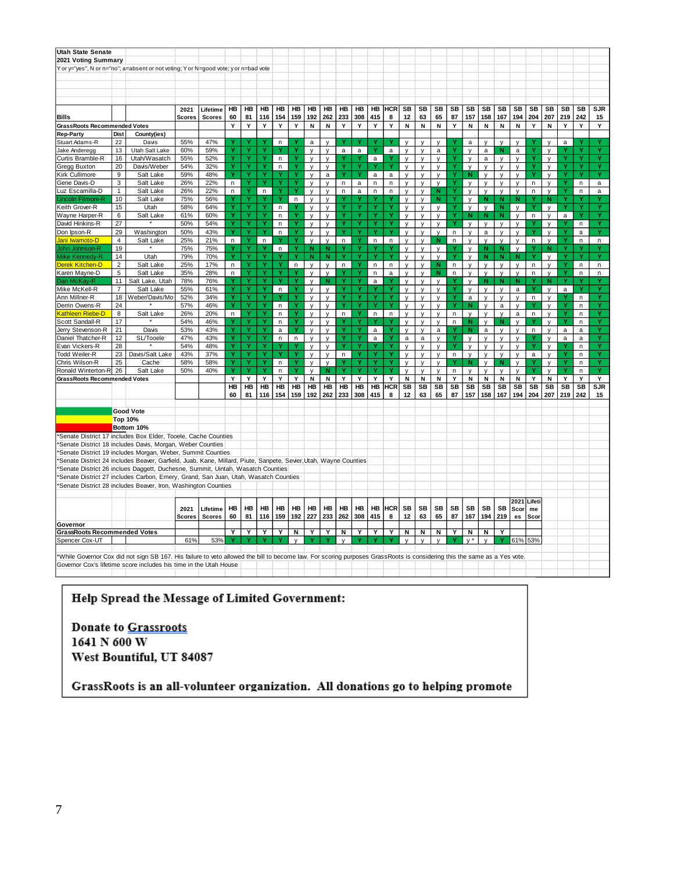| <b>Utah State Senate</b>                                                                                                                                                 |                |                      |               |               |        |    |        |              |              |              |              |              |     |              |            |              |              |              |             |              |              |              |              |              |              |              |           |              |
|--------------------------------------------------------------------------------------------------------------------------------------------------------------------------|----------------|----------------------|---------------|---------------|--------|----|--------|--------------|--------------|--------------|--------------|--------------|-----|--------------|------------|--------------|--------------|--------------|-------------|--------------|--------------|--------------|--------------|--------------|--------------|--------------|-----------|--------------|
| 2021 Voting Summary                                                                                                                                                      |                |                      |               |               |        |    |        |              |              |              |              |              |     |              |            |              |              |              |             |              |              |              |              |              |              |              |           |              |
| Y or y="yes", N or n="no"; a=absent or not voting; Y or N=good vote; y or n=bad vote                                                                                     |                |                      |               |               |        |    |        |              |              |              |              |              |     |              |            |              |              |              |             |              |              |              |              |              |              |              |           |              |
|                                                                                                                                                                          |                |                      |               |               |        |    |        |              |              |              |              |              |     |              |            |              |              |              |             |              |              |              |              |              |              |              |           |              |
|                                                                                                                                                                          |                |                      |               |               |        |    |        |              |              |              |              |              |     |              |            |              |              |              |             |              |              |              |              |              |              |              |           |              |
|                                                                                                                                                                          |                |                      |               |               |        |    |        |              |              |              |              |              |     |              |            |              |              |              |             |              |              |              |              |              |              |              |           |              |
|                                                                                                                                                                          |                |                      |               |               |        |    |        |              |              |              |              |              |     |              |            |              |              |              |             |              |              |              |              |              |              |              |           |              |
|                                                                                                                                                                          |                |                      |               |               |        | HB |        | HB           | HB           | HB           | HB           | HB           | HB  | HB           | HCR        | <b>SB</b>    | SB           | <b>SB</b>    | SB          | SB           |              |              | SB           | <b>SB</b>    | SB           | SB           | <b>SB</b> | <b>SJR</b>   |
|                                                                                                                                                                          |                |                      | 2021          | Lifetime      | HB     |    | HB     |              |              |              |              |              |     |              |            |              |              |              |             |              | SB           | SB           |              |              |              |              |           |              |
| <b>Bills</b>                                                                                                                                                             |                |                      | <b>Scores</b> | <b>Scores</b> | 60     | 81 | 116    | 154          | 159          | 192          | 262          | 233          | 308 | 415          | 8          | 12           | 63           | 65           | 87          | 157          | 158          | 167          | 194          | 204          | 207          | 219          | 242       | 15           |
| <b>GrassRoots Recommended Votes</b>                                                                                                                                      |                |                      |               |               | Υ      | Υ  | Υ      | Υ            | Υ            | N            | Ν            | Υ            | Υ   | Υ            | Υ          | N            | N            | N            | Υ           | N            | N            | Ν            | Ν            | Y            | N            | Υ            | Υ         | Y            |
| <b>Rep-Party</b>                                                                                                                                                         | Dist           | County(ies)          |               |               |        |    |        |              |              |              |              |              |     |              |            |              |              |              |             |              |              |              |              |              |              |              |           |              |
| Stuart Adams-R                                                                                                                                                           | 22             | Davis                | 55%           | 47%           |        |    |        | n            |              | a            |              |              |     |              |            | V            | V            | $\mathsf{v}$ |             | a            |              | $\mathsf{V}$ | $\mathsf{v}$ |              | $\mathsf{v}$ | a            |           |              |
| Jake Anderegg                                                                                                                                                            | 13             | Utah Salt Lake       | 60%           | 59%           | Ý      |    | Ÿ      |              |              | $\mathsf{V}$ | V            | $\mathsf a$  | a   |              | a          | $\mathsf{v}$ | V            | a            | Ÿ           | v            | a            | N            | a            | Ÿ            | y            |              | Ÿ         |              |
| Curtis Bramble-R                                                                                                                                                         | 16             | Utah/Wasatch         | 55%           | 52%           | Y      | Ÿ  | Ÿ      | $\mathsf{n}$ |              | $\mathsf{y}$ | y            |              |     | $\mathsf{a}$ |            | y            | y            | y            | Y           | y            | a            | y            | y            | Ÿ            | y            |              | Ÿ         |              |
| <b>Gregg Buxton</b>                                                                                                                                                      | 20             | Davis/Weber          | 54%           | 32%           | Ÿ      |    | Ÿ      | n            | Ÿ            | $\mathsf{v}$ | V            |              | Ý   |              |            | $\mathsf{v}$ | $\mathsf{v}$ | $\mathsf{v}$ |             | $\mathsf{V}$ | $\mathsf{v}$ | v            | $\mathsf{v}$ | Ÿ            | $\mathsf{v}$ |              |           |              |
| Kirk Cullimore                                                                                                                                                           | 9              | Salt Lake            | 59%           | 48%           | Y      | Y  | Y      |              | ٧            | $\mathsf{y}$ | a            | Y            | Y   | $\mathsf{a}$ | a          | y            | y            | $\mathsf{y}$ | Y           | N            | y            | y            | $\mathsf{v}$ | Y            | y            |              | ٧         | Y            |
| Gene Davis-D                                                                                                                                                             | $\mathsf 3$    | Salt Lake            | 26%           | 22%           | n      |    | Ÿ      |              |              | y            | v            | n            | a   | n            | n          | y            | y            | $\mathsf{v}$ | Ÿ           | $\mathsf{v}$ | y            | y            | y            | n            | y            |              | n         | $\mathsf{a}$ |
| Luz Escamilla-D                                                                                                                                                          | $\mathbf{1}$   | Salt Lake            | 26%           | 22%           | n.     |    | n.     |              |              | y            | y            | n            | a   | n            | n          | y            | У            | N            |             | y            | y            | y            | y            | $\mathsf{n}$ | У            |              | n         | $\mathsf a$  |
| Lincoln Filmore-R                                                                                                                                                        | 10             | Salt Lake            | 75%           | 56%           | Υ      | Y  | Y      | Y            | $\mathsf n$  | y            | y            |              | Υ   |              |            | y            | У            | N            | ۷           | y            | N            | N            | N            | Y            | N            | Υ            |           |              |
| Keith Grover-R                                                                                                                                                           | 15             | Utah                 | 58%           | 64%           | Y      | Ÿ  | Y      | $\mathsf{n}$ |              | y            | y            | Ÿ            | Ÿ   | Ÿ            | Ÿ          | y            | y            | V            | Ÿ           | y            | y            | N            | V            | Y            | $\mathsf{v}$ | Ÿ            | Ÿ         | Y            |
| Wayne Harper-R                                                                                                                                                           | 6              | Salt Lake            | 61%           | 60%           | Y      | Ÿ  | Y      | n            | Y            | y            | V            | Y            | Y   | Ÿ            | Y          | y            | y            | y            | Y           | N            | N            | N            | y            | n            | $\mathsf{y}$ | a            | ٧         | Y            |
| David Hinkins-R                                                                                                                                                          | 27             |                      | 50%           | 54%           | Ý      |    | Ý      | n            | Ý            | $\mathsf{V}$ | V            | Ÿ            | Ý   | Ÿ            | Ý          | y            | $\mathsf{v}$ | $\mathsf{v}$ | Ÿ           | $\mathsf{v}$ | $\mathsf{v}$ | V            | v            | Y            | y            |              | n         |              |
| Don Ipson-R                                                                                                                                                              | 29             | Washington           | 50%           | 43%           | Ÿ      | Ÿ  | Y      | $\mathsf{n}$ | Y            | $\mathsf{y}$ | y            | Y            | ۷   | Ÿ            | Ÿ          | y            | y            | $\mathsf{v}$ | n           | y            | $\mathsf a$  | y            | $\mathsf{y}$ | Y            | y            |              | a         | Y            |
| Jani Iwamoto-D                                                                                                                                                           | $\overline{4}$ | Salt Lake            | 25%           | 21%           | n.     |    | n      |              |              | $\mathsf{v}$ | V            | $\mathsf{n}$ |     | n            | n          | $\mathsf{v}$ | $\mathsf{v}$ | N            | n           | $\mathsf{v}$ | V            | $\mathsf{y}$ | $\mathsf{v}$ | n            | $\mathsf{v}$ |              | n         | n            |
| John Johnson-R                                                                                                                                                           | 19             |                      | 75%           | 75%           |        | ۷  |        | $\mathsf{n}$ | Y            | N            | N            |              | Y   |              |            | V            | y            | y            |             | y            | N            | N            | $\mathsf{v}$ |              | N            |              |           |              |
| Mike Kennedy-R                                                                                                                                                           | 14             | Utah                 | 79%           | 70%           | Ÿ      |    | Ÿ      |              | Ÿ            | $\mathbf N$  | N            | Ÿ            | Y   |              | Ÿ          | V            | $\mathsf{v}$ | $\mathbf v$  |             | V            | N            | N            | N            | Ÿ            | $\mathsf{v}$ |              |           |              |
| <b>Derek Kitchen-D</b>                                                                                                                                                   | $\overline{2}$ | Salt Lake            | 25%           | 17%           | n      | Ÿ  | Ÿ      | Ÿ            | $\mathsf n$  | $\mathsf{v}$ | V            | $\sf n$      | Ý   | n            | n          | $\mathsf{v}$ | y            | N            | n           | y            | V            | У            | v            | n            | $\mathsf{v}$ |              | n         | n            |
| Karen Mayne-D                                                                                                                                                            | 5              | Salt Lake            | 35%           | 28%           | n      | Ÿ  | Ÿ      | Ÿ            |              | y            | y            |              | Ÿ   | n            | a          | y            | y            | ${\bf N}$    | $\mathsf n$ | y            | y            | y            | y            | n            | y            | Ÿ            | n         | n            |
| Dan McKay-R                                                                                                                                                              | 11             | Salt Lake, Utah      | 78%           | 76%           |        |    |        |              | Ÿ            | y            | N            | Ÿ            | Y   | $\mathsf{a}$ |            | y            | У            | y            |             | y            | N            | N            | N            |              | N            |              |           |              |
| Mike McKell-R                                                                                                                                                            | $\overline{7}$ | Salt Lake            | 55%           | 61%           | Y      | Y  | Y      | n            | Y            | $\mathsf{V}$ | V            | Y            | Y   |              | Y          |              | V            | V            | Y           |              | v            |              |              | Y            | $\mathsf{v}$ | a            |           | v            |
| Ann Millner-R                                                                                                                                                            | 18             | Weber/Davis/Mo       | 52%           | 34%           | Ý      | Ÿ  | Ý      |              | Ÿ            | $\mathsf{v}$ |              | Ÿ            | Ý   | Ÿ            | Ÿ          | y            |              |              | Ÿ           | y            | y            | y            | a            |              |              |              |           |              |
| Derrin Owens-R                                                                                                                                                           | 24             |                      | 57%           | 46%           | Y      |    | Ý      | n            |              |              | V            |              |     |              | ٧          | $\mathsf{v}$ | V<br>y       | V            | ٧           | a<br>N       |              | y            | V            | n            | $\mathsf{v}$ |              | n<br>n    |              |
|                                                                                                                                                                          |                |                      |               |               |        |    | Ÿ      |              | Ÿ            | y            | y            |              | Ý   |              |            | y            |              | y            |             |              | у            | a            | y            |              | y            | Ÿ            |           |              |
| Kathleen Riebe-D                                                                                                                                                         | 8              | Salt Lake<br>$\star$ | 26%           | 20%           | n      | Ÿ  |        | n            | Y            | $\mathsf{V}$ | V            | n            |     | n            | n<br>٧     | $\mathsf{V}$ | v            | $\mathsf{V}$ | n           | $\mathsf{v}$ | V            | y            | a            | n            | y            | Y            | n         | Ÿ            |
| Scott Sandall-R                                                                                                                                                          | 17             |                      | 54%           | 46%           |        | Ÿ  | Y<br>Ÿ | n            |              | $\mathsf{y}$ | y            |              | Y   | Y            | Ý          | $\mathsf{V}$ | $\mathsf{v}$ | $\mathsf{v}$ | $\sf n$     | $\mathbf N$  | y            | N            | y            |              | $\mathsf{v}$ |              | $\sf n$   | Ÿ            |
| Jerry Stevenson-R                                                                                                                                                        | 21             | Davis                | 53%           | 43%<br>43%    |        | Y  | Y      | a            |              | $\mathsf{v}$ | $\mathsf{v}$ | Y            | Y   | $\mathsf{a}$ |            | $\mathsf{v}$ | $\mathsf{v}$ | $\mathbf{a}$ | Y           | N            | $\mathsf{a}$ | v            | y            | n            | $\mathsf{v}$ | $\mathsf{a}$ | a         | Y            |
| Daniel Thatcher-R                                                                                                                                                        | 12             | SL/Tooele            | 47%           | 48%           | Y<br>Ÿ | Y  | Y      | n            | n            | y            | у            |              | ۷   | $\mathsf{a}$ | Y<br>Ÿ     | a            | $\mathbf a$  | у            | Ÿ           | y            | у            | y            | у            | Y            | у            | a            | a         | Ÿ            |
| Evan Vickers-R                                                                                                                                                           | 28             |                      | 54%           |               | Ý      | Ÿ  | Ÿ      | Ÿ            | Ÿ            | V            | V            | Y            |     | Ÿ            | Ÿ          | $\mathsf{v}$ | $\mathsf{v}$ | V            |             | V            | V            | $\mathsf{v}$ | $\mathsf{v}$ |              | $\mathsf{v}$ |              | n         | Ÿ            |
| Todd Weiler-R                                                                                                                                                            | 23             | Davis/Salt Lake      | 43%           | 37%           |        |    |        |              |              | y            | V            | n            |     |              |            | $\mathsf{v}$ | y            | V            | n           | y            | y            | y            | y            | a            | y            | ۷            | n         | Ÿ            |
| Chris Wilson-R                                                                                                                                                           | 25             | Cache                | 58%           | 58%           | Y      | Y  | Y<br>Ý | n            | Y            | y            | y            | Y            | Y   | Y            | Y          | y            | y            | у            |             | N            | y            | N            | y            |              | y            | Ÿ            | n         |              |
| Ronald Winterton-R                                                                                                                                                       | 26             | Salt Lake            | 50%           | 40%           | Ý      |    |        | n            | Y            | y            | N            | Y            | Ý   |              |            | y            | У            | y            | n           | У            | y            | У            | y            | Y            | y            |              | n         |              |
| <b>GrassRoots Recommended Votes</b>                                                                                                                                      |                |                      |               |               | Υ      | Y  | Y      | Υ            | Υ            | N            | Ν            | Y            | Y   | Y            | Y          | Ν            | Ν            | N            | Υ           | N            | Ν            | N            | Ν            | Y            | Ν            | Y            | Y         | Y            |
|                                                                                                                                                                          |                |                      |               |               | HB     | HB | HB     | HB           | HB           | HB           | HB           | HB           | HB  | HB           | <b>HCR</b> | SB           | SB           | SB           | SB          | SB           | SB           | SB           | SB           | SB           | SB           | SB           | SB        | <b>SJR</b>   |
|                                                                                                                                                                          |                |                      |               |               | 60     | 81 | 116    | 154          | 159          | 192          | 262          | 233          | 308 | 415          | 8          | 12           | 63           | 65           | 87          | 157          | 158          | 167          | 194          | 204          | 207          | 219          | 242       | 15           |
|                                                                                                                                                                          |                |                      |               |               |        |    |        |              |              |              |              |              |     |              |            |              |              |              |             |              |              |              |              |              |              |              |           |              |
|                                                                                                                                                                          |                | <b>Good Vote</b>     |               |               |        |    |        |              |              |              |              |              |     |              |            |              |              |              |             |              |              |              |              |              |              |              |           |              |
|                                                                                                                                                                          | <b>Top 10%</b> |                      |               |               |        |    |        |              |              |              |              |              |     |              |            |              |              |              |             |              |              |              |              |              |              |              |           |              |
|                                                                                                                                                                          |                | Bottom 10%           |               |               |        |    |        |              |              |              |              |              |     |              |            |              |              |              |             |              |              |              |              |              |              |              |           |              |
| 'Senate District 17 includes Box Elder, Tooele, Cache Counties                                                                                                           |                |                      |               |               |        |    |        |              |              |              |              |              |     |              |            |              |              |              |             |              |              |              |              |              |              |              |           |              |
| Senate District 18 includes Davis, Morgan, Weber Counties                                                                                                                |                |                      |               |               |        |    |        |              |              |              |              |              |     |              |            |              |              |              |             |              |              |              |              |              |              |              |           |              |
| 'Senate District 19 includes Morgan, Weber, Summit Counties                                                                                                              |                |                      |               |               |        |    |        |              |              |              |              |              |     |              |            |              |              |              |             |              |              |              |              |              |              |              |           |              |
| 'Senate District 24 includes Beaver, Garfield, Juab, Kane, Millard, Piute, Sanpete, Sevier, Utah, Wayne Counties                                                         |                |                      |               |               |        |    |        |              |              |              |              |              |     |              |            |              |              |              |             |              |              |              |              |              |              |              |           |              |
| Senate District 26 inclues Daggett, Duchesne, Summit, Uintah, Wasatch Counties                                                                                           |                |                      |               |               |        |    |        |              |              |              |              |              |     |              |            |              |              |              |             |              |              |              |              |              |              |              |           |              |
| 'Senate District 27 includes Carbon, Emery, Grand, San Juan, Utah, Wasatch Counties                                                                                      |                |                      |               |               |        |    |        |              |              |              |              |              |     |              |            |              |              |              |             |              |              |              |              |              |              |              |           |              |
| 'Senate District 28 includes Beaver, Iron, Washington Counties                                                                                                           |                |                      |               |               |        |    |        |              |              |              |              |              |     |              |            |              |              |              |             |              |              |              |              |              |              |              |           |              |
|                                                                                                                                                                          |                |                      |               |               |        |    |        |              |              |              |              |              |     |              |            |              |              |              |             |              |              |              |              |              |              |              |           |              |
|                                                                                                                                                                          |                |                      |               |               |        |    |        |              |              |              |              |              |     |              |            |              |              |              |             |              |              |              | 2021         | Lifeti       |              |              |           |              |
|                                                                                                                                                                          |                |                      | 2021          | Lifetime      | HB     | HB | HB     | HB           | HB           | HB           | HB           | HB           | HB  | HB           | HCR        | SB           | SB           | SB           | SB          | SB           | SB           | SB           | Scor         | me           |              |              |           |              |
|                                                                                                                                                                          |                |                      | <b>Scores</b> | <b>Scores</b> | 60     | 81 | 116    | 159          | 192          | 227          | 233          | 262          | 308 | 415          | 8          | 12           | 63           | 65           | 87          | 167          | 194          | 219          | es           | Scor         |              |              |           |              |
| Governor                                                                                                                                                                 |                |                      |               |               |        |    |        |              |              |              |              |              |     |              |            |              |              |              |             |              |              |              |              |              |              |              |           |              |
| <b>GrassRoots Recommended Votes</b>                                                                                                                                      |                |                      |               |               |        |    | Y      | Y            | N            |              | Y            | N            | Υ   |              | Y          | N            | N            | N            | Y           | N            | N            |              |              |              |              |              |           |              |
| Spencer Cox-UT                                                                                                                                                           |                |                      | 61%           | 53%           |        |    |        |              | $\mathsf{v}$ |              |              | $\mathsf{v}$ |     |              |            | $\mathbf{v}$ | $\mathsf{v}$ | $\mathsf{v}$ |             |              |              |              | 61%          | 53%          |              |              |           |              |
|                                                                                                                                                                          |                |                      |               |               |        |    |        |              |              |              |              |              |     |              |            |              |              |              |             |              |              |              |              |              |              |              |           |              |
| 'While Governor Cox did not sign SB 167. His failure to veto allowed the bill to become law. For scoring purposes GrassRoots is considering this the same as a Yes vote. |                |                      |               |               |        |    |        |              |              |              |              |              |     |              |            |              |              |              |             |              |              |              |              |              |              |              |           |              |
| Governor Cox's lifetime score includes his time in the Utah House                                                                                                        |                |                      |               |               |        |    |        |              |              |              |              |              |     |              |            |              |              |              |             |              |              |              |              |              |              |              |           |              |
|                                                                                                                                                                          |                |                      |               |               |        |    |        |              |              |              |              |              |     |              |            |              |              |              |             |              |              |              |              |              |              |              |           |              |

# Help Spread the Message of Limited Government:

Donate to Grassroots 1641 N 600 W West Bountiful, UT 84087

GrassRoots is an all-volunteer organization. All donations go to helping promote